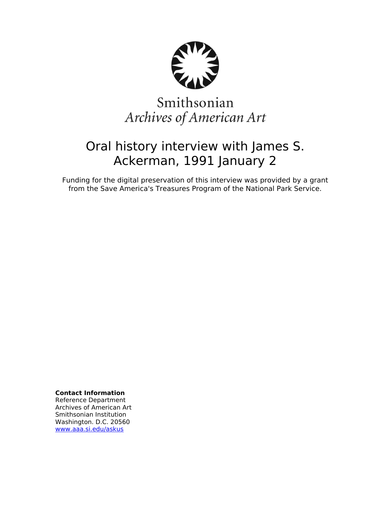

# Smithsonian Archives of American Art

# Oral history interview with James S. Ackerman, 1991 January 2

Funding for the digital preservation of this interview was provided by a grant from the Save America's Treasures Program of the National Park Service.

**Contact Information**

Reference Department Archives of American Art Smithsonian Institution Washington. D.C. 20560 [www.aaa.si.edu/askus](http://www.aaa.si.edu/askus)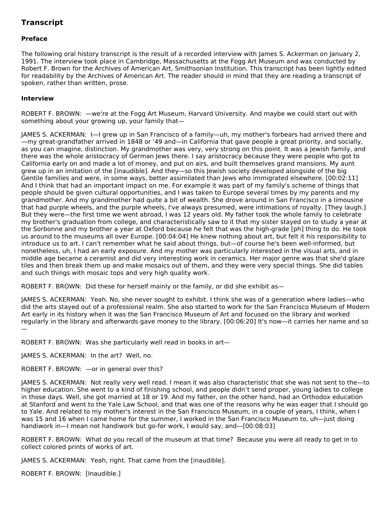# **Transcript**

# **Preface**

The following oral history transcript is the result of a recorded interview with James S. Ackerman on January 2, 1991. The interview took place in Cambridge, Massachusetts at the Fogg Art Museum and was conducted by Robert F. Brown for the Archives of American Art, Smithsonian Institution. This transcript has been lightly edited for readability by the Archives of American Art. The reader should in mind that they are reading a transcript of spoken, rather than written, prose.

### **Interview**

ROBERT F. BROWN: —we're at the Fogg Art Museum, Harvard University. And maybe we could start out with something about your growing up, your family that—

JAMES S. ACKERMAN: I—I grew up in San Francisco of a family—uh, my mother's forbears had arrived there and —my great-grandfather arrived in 1848 or '49 and—in California that gave people a great priority, and socially, as you can imagine, distinction. My grandmother was very, very strong on this point. It was a Jewish family, and there was the whole aristocracy of German Jews there. I say aristocracy because they were people who got to California early on and made a lot of money, and put on airs, and built themselves grand mansions. My aunt grew up in an imitation of the [inaudible]. And they—so this Jewish society developed alongside of the big Gentile families and were, in some ways, better assimilated than Jews who immigrated elsewhere. [00:02:11] And I think that had an important impact on me. For example it was part of my family's scheme of things that people should be given cultural opportunities, and I was taken to Europe several times by my parents and my grandmother. And my grandmother had quite a bit of wealth. She drove around in San Francisco in a limousine that had purple wheels, and the purple wheels, I've always presumed, were intimations of royalty. [They laugh.] But they were—the first time we went abroad, I was 12 years old. My father took the whole family to celebrate my brother's graduation from college, and characteristically saw to it that my sister stayed on to study a year at the Sorbonne and my brother a year at Oxford because he felt that was the high-grade [ph] thing to do. He took us around to the museums all over Europe. [00:04:04] He knew nothing about art, but felt it his responsibility to introduce us to art. I can't remember what he said about things, but—of course he's been well-informed, but nonetheless, uh, I had an early exposure. And my mother was particularly interested in the visual arts, and in middle age became a ceramist and did very interesting work in ceramics. Her major genre was that she'd glaze tiles and then break them up and make mosaics out of them, and they were very special things. She did tables and such things with mosaic tops and very high quality work.

ROBERT F. BROWN: Did these for herself mainly or the family, or did she exhibit as—

JAMES S. ACKERMAN: Yeah. No, she never sought to exhibit. I think she was of a generation where ladies—who did the arts stayed out of a professional realm. She also started to work for the San Francisco Museum of Modern Art early in its history when it was the San Francisco Museum of Art and focused on the library and worked regularly in the library and afterwards gave money to the library. [00:06:20] It's now—it carries her name and so —

ROBERT F. BROWN: Was she particularly well read in books in art—

JAMES S. ACKERMAN: In the art? Well, no.

ROBERT F. BROWN: —or in general over this?

JAMES S. ACKERMAN: Not really very well read. I mean it was also characteristic that she was not sent to the—to higher education. She went to a kind of finishing school, and people didn't send proper, young ladies to college in those days. Well, she got married at 18 or 19. And my father, on the other hand, had an Orthodox education at Stanford and went to the Yale Law School, and that was one of the reasons why he was eager that I should go to Yale. And related to my mother's interest in the San Francisco Museum, in a couple of years, I think, when I was 15 and 16 when I came home for the summer, I worked in the San Francisco Museum to, uh—just doing handiwork in—I mean not handiwork but go-for work, I would say, and—[00:08:03]

ROBERT F. BROWN: What do you recall of the museum at that time? Because you were all ready to get in to collect colored prints of works of art.

JAMES S. ACKERMAN: Yeah, right. That came from the [inaudible].

ROBERT F. BROWN: [Inaudible.]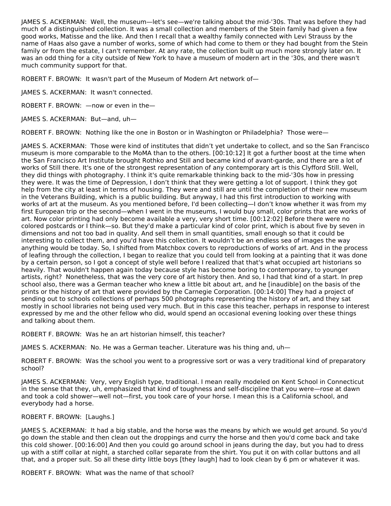JAMES S. ACKERMAN: Well, the museum—let's see—we're talking about the mid-'30s. That was before they had much of a distinguished collection. It was a small collection and members of the Stein family had given a few good works, Matisse and the like. And then I recall that a wealthy family connected with Levi Strauss by the name of Haas also gave a number of works, some of which had come to them or they had bought from the Stein family or from the estate, I can't remember. At any rate, the collection built up much more strongly later on. It was an odd thing for a city outside of New York to have a museum of modern art in the '30s, and there wasn't much community support for that.

ROBERT F. BROWN: It wasn't part of the Museum of Modern Art network of—

JAMES S. ACKERMAN: It wasn't connected.

ROBERT F. BROWN: —now or even in the—

JAMES S. ACKERMAN: But—and, uh—

ROBERT F. BROWN: Nothing like the one in Boston or in Washington or Philadelphia? Those were—

JAMES S. ACKERMAN: Those were kind of institutes that didn't yet undertake to collect, and so the San Francisco museum is more comparable to the MoMA than to the others. [00:10:12] It got a further boost at the time when the San Francisco Art Institute brought Rothko and Still and became kind of avant-garde, and there are a lot of works of Still there. It's one of the strongest representation of any contemporary art is this Clyfford Still. Well, they did things with photography. I think it's quite remarkable thinking back to the mid-'30s how in pressing they were. It was the time of Depression, I don't think that they were getting a lot of support. I think they got help from the city at least in terms of housing. They were and still are until the completion of their new museum in the Veterans Building, which is a public building. But anyway, I had this first introduction to working with works of art at the museum. As you mentioned before, I'd been collecting—I don't know whether it was from my first European trip or the second—when I went in the museums, I would buy small, color prints that are works of art. Now color printing had only become available a very, very short time. [00:12:02] Before there were no colored postcards or I think—so. But they'd make a particular kind of color print, which is about five by seven in dimensions and not too bad in quality. And sell them in small quantities, small enough so that it could be interesting to collect them, and you'd have this collection. It wouldn't be an endless sea of images the way anything would be today. So, I shifted from Matchbox covers to reproductions of works of art. And in the process of leafing through the collection, I began to realize that you could tell from looking at a painting that it was done by a certain person, so I got a concept of style well before I realized that that's what occupied art historians so heavily. That wouldn't happen again today because style has become boring to contemporary, to younger artists, right? Nonetheless, that was the very core of art history then. And so, I had that kind of a start. In prep school also, there was a German teacher who knew a little bit about art, and he [inaudible] on the basis of the prints or the history of art that were provided by the Carnegie Corporation. [00:14:00] They had a project of sending out to schools collections of perhaps 500 photographs representing the history of art, and they sat mostly in school libraries not being used very much. But in this case this teacher, perhaps in response to interest expressed by me and the other fellow who did, would spend an occasional evening looking over these things and talking about them.

ROBERT F. BROWN: Was he an art historian himself, this teacher?

JAMES S. ACKERMAN: No. He was a German teacher. Literature was his thing and, uh—

ROBERT F. BROWN: Was the school you went to a progressive sort or was a very traditional kind of preparatory school?

JAMES S. ACKERMAN: Very, very English type, traditional. I mean really modeled on Kent School in Connecticut in the sense that they, uh, emphasized that kind of toughness and self-discipline that you were—rose at dawn and took a cold shower—well not—first, you took care of your horse. I mean this is a California school, and everybody had a horse.

ROBERT F. BROWN: [Laughs.]

JAMES S. ACKERMAN: It had a big stable, and the horse was the means by which we would get around. So you'd go down the stable and then clean out the droppings and curry the horse and then you'd come back and take this cold shower. [00:16:00] And then you could go around school in jeans during the day, but you had to dress up with a stiff collar at night, a starched collar separate from the shirt. You put it on with collar buttons and all that, and a proper suit. So all these dirty little boys [they laugh] had to look clean by 6 pm or whatever it was.

ROBERT F. BROWN: What was the name of that school?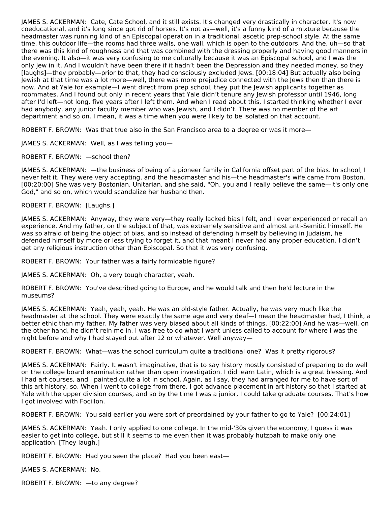JAMES S. ACKERMAN: Cate, Cate School, and it still exists. It's changed very drastically in character. It's now coeducational, and it's long since got rid of horses. It's not as—well, it's a funny kind of a mixture because the headmaster was running kind of an Episcopal operation in a traditional, ascetic prep-school style. At the same time, this outdoor life—the rooms had three walls, one wall, which is open to the outdoors. And the, uh—so that there was this kind of roughness and that was combined with the dressing properly and having good manners in the evening. It also—it was very confusing to me culturally because it was an Episcopal school, and I was the only Jew in it. And I wouldn't have been there if it hadn't been the Depression and they needed money, so they [laughs]—they probably—prior to that, they had consciously excluded Jews. [00:18:04] But actually also being Jewish at that time was a lot more—well, there was more prejudice connected with the Jews then than there is now. And at Yale for example—I went direct from prep school, they put the Jewish applicants together as roommates. And I found out only in recent years that Yale didn't tenure any Jewish professor until 1946, long after I'd left—not long, five years after I left them. And when I read about this, I started thinking whether I ever had anybody, any junior faculty member who was Jewish, and I didn't. There was no member of the art department and so on. I mean, it was a time when you were likely to be isolated on that account.

ROBERT F. BROWN: Was that true also in the San Francisco area to a degree or was it more—

JAMES S. ACKERMAN: Well, as I was telling you—

ROBERT F. BROWN: —school then?

JAMES S. ACKERMAN: —the business of being of a pioneer family in California offset part of the bias. In school, I never felt it. They were very accepting, and the headmaster and his—the headmaster's wife came from Boston. [00:20:00] She was very Bostonian, Unitarian, and she said, "Oh, you and I really believe the same—it's only one God," and so on, which would scandalize her husband then.

ROBERT F. BROWN: [Laughs.]

JAMES S. ACKERMAN: Anyway, they were very—they really lacked bias I felt, and I ever experienced or recall an experience. And my father, on the subject of that, was extremely sensitive and almost anti-Semitic himself. He was so afraid of being the object of bias, and so instead of defending himself by believing in Judaism, he defended himself by more or less trying to forget it, and that meant I never had any proper education. I didn't get any religious instruction other than Episcopal. So that it was very confusing.

ROBERT F. BROWN: Your father was a fairly formidable figure?

JAMES S. ACKERMAN: Oh, a very tough character, yeah.

ROBERT F. BROWN: You've described going to Europe, and he would talk and then he'd lecture in the museums?

JAMES S. ACKERMAN: Yeah, yeah, yeah. He was an old-style father. Actually, he was very much like the headmaster at the school. They were exactly the same age and very deaf—I mean the headmaster had, I think, a better ethic than my father. My father was very biased about all kinds of things. [00:22:00] And he was—well, on the other hand, he didn't rein me in. I was free to do what I want unless called to account for where I was the night before and why I had stayed out after 12 or whatever. Well anyway—

ROBERT F. BROWN: What—was the school curriculum quite a traditional one? Was it pretty rigorous?

JAMES S. ACKERMAN: Fairly. It wasn't imaginative, that is to say history mostly consisted of preparing to do well on the college board examination rather than open investigation. I did learn Latin, which is a great blessing. And I had art courses, and I painted quite a lot in school. Again, as I say, they had arranged for me to have sort of this art history, so. When I went to college from there, I got advance placement in art history so that I started at Yale with the upper division courses, and so by the time I was a junior, I could take graduate courses. That's how I got involved with Focillon.

ROBERT F. BROWN: You said earlier you were sort of preordained by your father to go to Yale? [00:24:01]

JAMES S. ACKERMAN: Yeah. I only applied to one college. In the mid-'30s given the economy, I guess it was easier to get into college, but still it seems to me even then it was probably hutzpah to make only one application. [They laugh.]

ROBERT F. BROWN: Had you seen the place? Had you been east—

JAMES S. ACKERMAN: No.

ROBERT F. BROWN: —to any degree?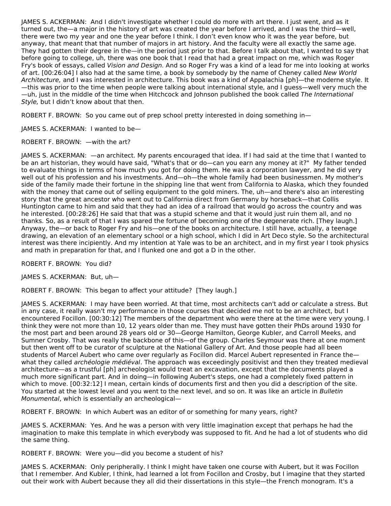JAMES S. ACKERMAN: And I didn't investigate whether I could do more with art there. I just went, and as it turned out, the—a major in the history of art was created the year before I arrived, and I was the third—well, there were two my year and one the year before I think. I don't even know who it was the year before, but anyway, that meant that that number of majors in art history. And the faculty were all exactly the same age. They had gotten their degree in the—in the period just prior to that. Before I talk about that, I wanted to say that before going to college, uh, there was one book that I read that had a great impact on me, which was Roger Fry's book of essays, called Vision and Design. And so Roger Fry was a kind of a lead for me into looking at works of art. [00:26:04] I also had at the same time, a book by somebody by the name of Cheney called New World Architecture, and I was interested in architecture. This book was a kind of Appalachia [ph]—the moderne style. It —this was prior to the time when people were talking about international style, and I guess—well very much the —uh, just in the middle of the time when Hitchcock and Johnson published the book called The International Style, but I didn't know about that then.

ROBERT F. BROWN: So you came out of prep school pretty interested in doing something in-

JAMES S. ACKERMAN: I wanted to be—

ROBERT F. BROWN: —with the art?

JAMES S. ACKERMAN: —an architect. My parents encouraged that idea. If I had said at the time that I wanted to be an art historian, they would have said, "What's that or do—can you earn any money at it?" My father tended to evaluate things in terms of how much you got for doing them. He was a corporation lawyer, and he did very well out of his profession and his investments. And—oh—the whole family had been businessmen. My mother's side of the family made their fortune in the shipping line that went from California to Alaska, which they founded with the money that came out of selling equipment to the gold miners. The, uh—and there's also an interesting story that the great ancestor who went out to California direct from Germany by horseback—that Collis Huntington came to him and said that they had an idea of a railroad that would go across the country and was he interested. [00:28:26] He said that that was a stupid scheme and that it would just ruin them all, and no thanks. So, as a result of that I was spared the fortune of becoming one of the degenerate rich. [They laugh.] Anyway, the—or back to Roger Fry and his—one of the books on architecture. I still have, actually, a teenage drawing, an elevation of an elementary school or a high school, which I did in Art Deco style. So the architectural interest was there incipiently. And my intention at Yale was to be an architect, and in my first year I took physics and math in preparation for that, and I flunked one and got a D in the other.

ROBERT F. BROWN: You did?

JAMES S. ACKERMAN: But, uh—

ROBERT F. BROWN: This began to affect your attitude? [They laugh.]

JAMES S. ACKERMAN: I may have been worried. At that time, most architects can't add or calculate a stress. But in any case, it really wasn't my performance in those courses that decided me not to be an architect, but I encountered Focillon. [00:30:12] The members of the department who were there at the time were very young. I think they were not more than 10, 12 years older than me. They must have gotten their PhDs around 1930 for the most part and been around 28 years old or 30—George Hamilton, George Kubler, and Carroll Meeks, and Sumner Crosby. That was really the backbone of this—of the group. Charles Seymour was there at one moment but then went off to be curator of sculpture at the National Gallery of Art. And those people had all been students of Marcel Aubert who came over regularly as Focillon did. Marcel Aubert represented in France the what they called *archéologie médiéval*. The approach was exceedingly positivist and then they treated medieval architecture—as a trustful [ph] archeologist would treat an excavation, except that the documents played a much more significant part. And in doing—in following Aubert's steps, one had a completely fixed pattern in which to move. [00:32:12] I mean, certain kinds of documents first and then you did a description of the site. You started at the lowest level and you went to the next level, and so on. It was like an article in Bulletin Monumental, which is essentially an archeological—

ROBERT F. BROWN: In which Aubert was an editor of or something for many years, right?

JAMES S. ACKERMAN: Yes. And he was a person with very little imagination except that perhaps he had the imagination to make this template in which everybody was supposed to fit. And he had a lot of students who did the same thing.

ROBERT F. BROWN: Were you—did you become a student of his?

JAMES S. ACKERMAN: Only peripherally. I think I might have taken one course with Aubert, but it was Focillon that I remember. And Kubler, I think, had learned a lot from Focillon and Crosby, but I imagine that they started out their work with Aubert because they all did their dissertations in this style—the French monogram. It's a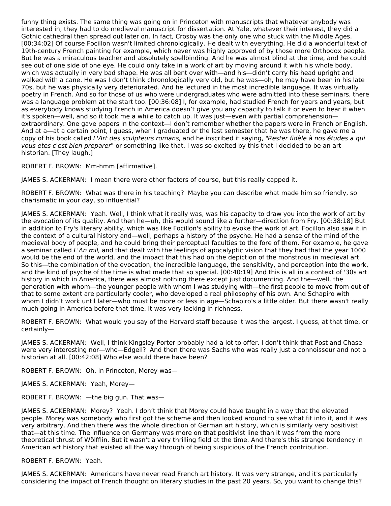funny thing exists. The same thing was going on in Princeton with manuscripts that whatever anybody was interested in, they had to do medieval manuscript for dissertation. At Yale, whatever their interest, they did a Gothic cathedral then spread out later on. In fact, Crosby was the only one who stuck with the Middle Ages. [00:34:02] Of course Focillon wasn't limited chronologically. He dealt with everything. He did a wonderful text of 19th-century French painting for example, which never was highly approved of by those more Orthodox people. But he was a miraculous teacher and absolutely spellbinding. And he was almost blind at the time, and he could see out of one side of one eye. He could only take in a work of art by moving around it with his whole body, which was actually in very bad shape. He was all bent over with—and his—didn't carry his head upright and walked with a cane. He was I don't think chronologically very old, but he was—oh, he may have been in his late 70s, but he was physically very deteriorated. And he lectured in the most incredible language. It was virtually poetry in French. And so for those of us who were undergraduates who were admitted into these seminars, there was a language problem at the start too. [00:36:08] I, for example, had studied French for years and years, but as everybody knows studying French in America doesn't give you any capacity to talk it or even to hear it when it's spoken—well, and so it took me a while to catch up. It was just—even with partial comprehension extraordinary. One gave papers in the context—I don't remember whether the papers were in French or English. And at a—at a certain point, I guess, when I graduated or the last semester that he was there, he gave me a copy of his book called L'Art des sculpteurs romans, and he inscribed it saying, "Rester fidèle à nos études a qui vous etes c'est bien preparer" or something like that. I was so excited by this that I decided to be an art historian. [They laugh.]

ROBERT F. BROWN: Mm-hmm [affirmative].

JAMES S. ACKERMAN: I mean there were other factors of course, but this really capped it.

ROBERT F. BROWN: What was there in his teaching? Maybe you can describe what made him so friendly, so charismatic in your day, so influential?

JAMES S. ACKERMAN: Yeah. Well, I think what it really was, was his capacity to draw you into the work of art by the evocation of its quality. And then he—uh, this would sound like a further—direction from Fry. [00:38:18] But in addition to Fry's literary ability, which was like Focillon's ability to evoke the work of art. Focillon also saw it in the context of a cultural history and—well, perhaps a history of the psyche. He had a sense of the mind of the medieval body of people, and he could bring their perceptual faculties to the fore of them. For example, he gave a seminar called L'An mil, and that dealt with the feelings of apocalyptic vision that they had that the year 1000 would be the end of the world, and the impact that this had on the depiction of the monstrous in medieval art. So this—the combination of the evocation, the incredible language, the sensitivity, and perception into the work, and the kind of psyche of the time is what made that so special. [00:40:19] And this is all in a context of '30s art history in which in America, there was almost nothing there except just documenting. And the—well, the generation with whom—the younger people with whom I was studying with—the first people to move from out of that to some extent are particularly cooler, who developed a real philosophy of his own. And Schapiro with whom I didn't work until later—who must be more or less in age—Schapiro's a little older. But there wasn't really much going in America before that time. It was very lacking in richness.

ROBERT F. BROWN: What would you say of the Harvard staff because it was the largest, I guess, at that time, or certainly—

JAMES S. ACKERMAN: Well, I think Kingsley Porter probably had a lot to offer. I don't think that Post and Chase were very interesting nor—who—Edgell? And then there was Sachs who was really just a connoisseur and not a historian at all. [00:42:08] Who else would there have been?

ROBERT F. BROWN: Oh, in Princeton, Morey was—

JAMES S. ACKERMAN: Yeah, Morey—

ROBERT F. BROWN: —the big gun. That was—

JAMES S. ACKERMAN: Morey? Yeah. I don't think that Morey could have taught in a way that the elevated people. Morey was somebody who first got the scheme and then looked around to see what fit into it, and it was very arbitrary. And then there was the whole direction of German art history, which is similarly very positivist that—at this time. The influence on Germany was more on that positivist line than it was from the more theoretical thrust of Wölfflin. But it wasn't a very thrilling field at the time. And there's this strange tendency in American art history that existed all the way through of being suspicious of the French contribution.

ROBERT F. BROWN: Yeah.

JAMES S. ACKERMAN: Americans have never read French art history. It was very strange, and it's particularly considering the impact of French thought on literary studies in the past 20 years. So, you want to change this?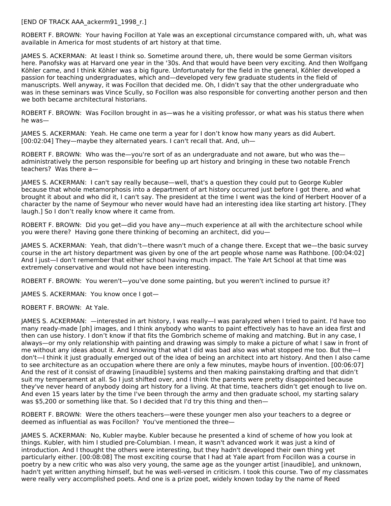[END OF TRACK AAA\_ackerm91\_1998\_r.]

ROBERT F. BROWN: Your having Focillon at Yale was an exceptional circumstance compared with, uh, what was available in America for most students of art history at that time.

JAMES S. ACKERMAN: At least I think so. Sometime around there, uh, there would be some German visitors here. Panofsky was at Harvard one year in the '30s. And that would have been very exciting. And then Wolfgang Köhler came, and I think Köhler was a big figure. Unfortunately for the field in the general, Köhler developed a passion for teaching undergraduates, which and—developed very few graduate students in the field of manuscripts. Well anyway, it was Focillon that decided me. Oh, I didn't say that the other undergraduate who was in these seminars was Vince Scully, so Focillon was also responsible for converting another person and then we both became architectural historians.

ROBERT F. BROWN: Was Focillon brought in as—was he a visiting professor, or what was his status there when he was—

JAMES S. ACKERMAN: Yeah. He came one term a year for I don't know how many years as did Aubert. [00:02:04] They—maybe they alternated years. I can't recall that. And, uh—

ROBERT F. BROWN: Who was the—you're sort of as an undergraduate and not aware, but who was the administratively the person responsible for beefing up art history and bringing in these two notable French teachers? Was there a—

JAMES S. ACKERMAN: I can't say really because—well, that's a question they could put to George Kubler because that whole metamorphosis into a department of art history occurred just before I got there, and what brought it about and who did it, I can't say. The president at the time I went was the kind of Herbert Hoover of a character by the name of Seymour who never would have had an interesting idea like starting art history. [They laugh.] So I don't really know where it came from.

ROBERT F. BROWN: Did you get—did you have any—much experience at all with the architecture school while you were there? Having gone there thinking of becoming an architect, did you—

JAMES S. ACKERMAN: Yeah, that didn't—there wasn't much of a change there. Except that we—the basic survey course in the art history department was given by one of the art people whose name was Rathbone. [00:04:02] And I just—I don't remember that either school having much impact. The Yale Art School at that time was extremely conservative and would not have been interesting.

ROBERT F. BROWN: You weren't—you've done some painting, but you weren't inclined to pursue it?

JAMES S. ACKERMAN: You know once I got—

ROBERT F. BROWN: At Yale.

JAMES S. ACKERMAN: —interested in art history, I was really—I was paralyzed when I tried to paint. I'd have too many ready‑made [ph] images, and I think anybody who wants to paint effectively has to have an idea first and then can use history. I don't know if that fits the Gombrich scheme of making and matching. But in any case, I always—or my only relationship with painting and drawing was simply to make a picture of what I saw in front of me without any ideas about it. And knowing that what I did was bad also was what stopped me too. But the—I don't—I think it just gradually emerged out of the idea of being an architect into art history. And then I also came to see architecture as an occupation where there are only a few minutes, maybe hours of invention. [00:06:07] And the rest of it consist of drawing [inaudible] systems and then making painstaking drafting and that didn't suit my temperament at all. So I just shifted over, and I think the parents were pretty disappointed because they've never heard of anybody doing art history for a living. At that time, teachers didn't get enough to live on. And even 15 years later by the time I've been through the army and then graduate school, my starting salary was \$5,200 or something like that. So I decided that I'd try this thing and then—

ROBERT F. BROWN: Were the others teachers—were these younger men also your teachers to a degree or deemed as influential as was Focillon? You've mentioned the three—

JAMES S. ACKERMAN: No, Kubler maybe. Kubler because he presented a kind of scheme of how you look at things. Kubler, with him I studied pre-Columbian. I mean, it wasn't advanced work it was just a kind of introduction. And I thought the others were interesting, but they hadn't developed their own thing yet particularly either. [00:08:08] The most exciting course that I had at Yale apart from Focillon was a course in poetry by a new critic who was also very young, the same age as the younger artist [inaudible], and unknown, hadn't yet written anything himself, but he was well-versed in criticism. I took this course. Two of my classmates were really very accomplished poets. And one is a prize poet, widely known today by the name of Reed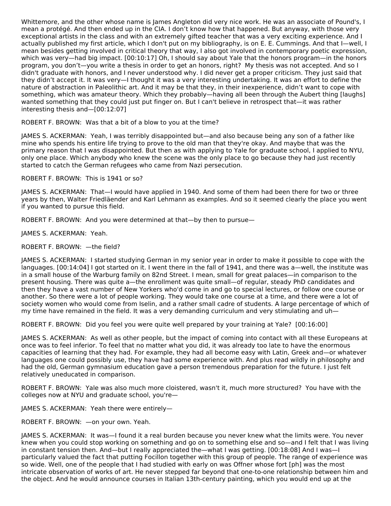Whittemore, and the other whose name is James Angleton did very nice work. He was an associate of Pound's, I mean a protégé. And then ended up in the CIA. I don't know how that happened. But anyway, with those very exceptional artists in the class and with an extremely gifted teacher that was a very exciting experience. And I actually published my first article, which I don't put on my bibliography, is on E. E. Cummings. And that I—well, I mean besides getting involved in critical theory that way, I also got involved in contemporary poetic expression, which was very—had big impact. [00:10:17] Oh, I should say about Yale that the honors program—in the honors program, you don't—you write a thesis in order to get an honors, right? My thesis was not accepted. And so I didn't graduate with honors, and I never understood why. I did never get a proper criticism. They just said that they didn't accept it. It was very—I thought it was a very interesting undertaking. It was an effort to define the nature of abstraction in Paleolithic art. And it may be that they, in their inexperience, didn't want to cope with something, which was amateur theory. Which they probably—having all been through the Aubert thing [laughs] wanted something that they could just put finger on. But I can't believe in retrospect that—it was rather interesting thesis and—[00:12:07]

ROBERT F. BROWN: Was that a bit of a blow to you at the time?

JAMES S. ACKERMAN: Yeah, I was terribly disappointed but—and also because being any son of a father like mine who spends his entire life trying to prove to the old man that they're okay. And maybe that was the primary reason that I was disappointed. But then as with applying to Yale for graduate school, I applied to NYU, only one place. Which anybody who knew the scene was the only place to go because they had just recently started to catch the German refugees who came from Nazi persecution.

ROBERT F. BROWN: This is 1941 or so?

JAMES S. ACKERMAN: That—I would have applied in 1940. And some of them had been there for two or three years by then, Walter Friedläender and Karl Lehmann as examples. And so it seemed clearly the place you went if you wanted to pursue this field.

ROBERT F. BROWN: And you were determined at that—by then to pursue—

JAMES S. ACKERMAN: Yeah.

ROBERT F. BROWN: —the field?

JAMES S. ACKERMAN: I started studying German in my senior year in order to make it possible to cope with the languages. [00:14:04] I got started on it. I went there in the fall of 1941, and there was a—well, the institute was in a small house of the Warburg family on 82nd Street. I mean, small for great palaces—in comparison to the present housing. There was quite a—the enrollment was quite small—of regular, steady PhD candidates and then they have a vast number of New Yorkers who'd come in and go to special lectures, or follow one course or another. So there were a lot of people working. They would take one course at a time, and there were a lot of society women who would come from Iselin, and a rather small cadre of students. A large percentage of which of my time have remained in the field. It was a very demanding curriculum and very stimulating and uh—

ROBERT F. BROWN: Did you feel you were quite well prepared by your training at Yale? [00:16:00]

JAMES S. ACKERMAN: As well as other people, but the impact of coming into contact with all these Europeans at once was to feel inferior. To feel that no matter what you did, it was already too late to have the enormous capacities of learning that they had. For example, they had all become easy with Latin, Greek and—or whatever languages one could possibly use, they have had some experience with. And plus read wildly in philosophy and had the old, German gymnasium education gave a person tremendous preparation for the future. I just felt relatively uneducated in comparison.

ROBERT F. BROWN: Yale was also much more cloistered, wasn't it, much more structured? You have with the colleges now at NYU and graduate school, you're—

JAMES S. ACKERMAN: Yeah there were entirely—

ROBERT F. BROWN: —on your own. Yeah.

JAMES S. ACKERMAN: It was—I found it a real burden because you never knew what the limits were. You never knew when you could stop working on something and go on to something else and so—and I felt that I was living in constant tension then. And—but I really appreciated the—what I was getting. [00:18:08] And I was—I particularly valued the fact that putting Focillon together with this group of people. The range of experience was so wide. Well, one of the people that I had studied with early on was Offner whose fort [ph] was the most intricate observation of works of art. He never stepped far beyond that one-to-one relationship between him and the object. And he would announce courses in Italian 13th-century painting, which you would end up at the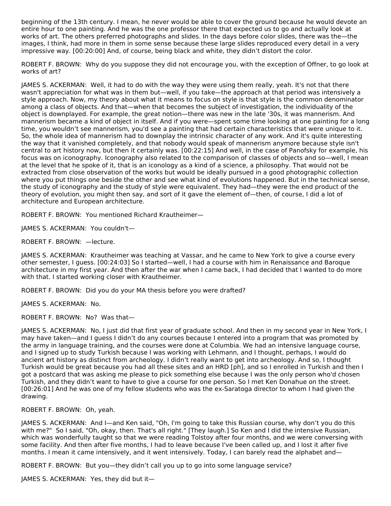beginning of the 13th century. I mean, he never would be able to cover the ground because he would devote an entire hour to one painting. And he was the one professor there that expected us to go and actually look at works of art. The others preferred photographs and slides. In the days before color slides, there was the—the images, I think, had more in them in some sense because these large slides reproduced every detail in a very impressive way. [00:20:00] And, of course, being black and white, they didn't distort the color.

ROBERT F. BROWN: Why do you suppose they did not encourage you, with the exception of Offner, to go look at works of art?

JAMES S. ACKERMAN: Well, it had to do with the way they were using them really, yeah. It's not that there wasn't appreciation for what was in them but—well, if you take—the approach at that period was intensively a style approach. Now, my theory about what it means to focus on style is that style is the common denominator among a class of objects. And that—when that becomes the subject of investigation, the individuality of the object is downplayed. For example, the great notion—there was new in the late '30s, it was mannerism. And mannerism became a kind of object in itself. And if you were—spent some time looking at one painting for a long time, you wouldn't see mannerism, you'd see a painting that had certain characteristics that were unique to it. So, the whole idea of mannerism had to downplay the intrinsic character of any work. And it's quite interesting the way that it vanished completely, and that nobody would speak of mannerism anymore because style isn't central to art history now, but then it certainly was. [00:22:15] And well, in the case of Panofsky for example, his focus was on iconography. Iconography also related to the comparison of classes of objects and so—well, I mean at the level that he spoke of it, that is an iconology as a kind of a science, a philosophy. That would not be extracted from close observation of the works but would be ideally pursued in a good photographic collection where you put things one beside the other and see what kind of evolutions happened. But in the technical sense, the study of iconography and the study of style were equivalent. They had—they were the end product of the theory of evolution, you might then say, and sort of it gave the element of—then, of course, I did a lot of architecture and European architecture.

ROBERT F. BROWN: You mentioned Richard Krautheimer—

JAMES S. ACKERMAN: You couldn't—

ROBERT F. BROWN: —lecture.

JAMES S. ACKERMAN: Krautheimer was teaching at Vassar, and he came to New York to give a course every other semester, I guess. [00:24:03] So I started—well, I had a course with him in Renaissance and Baroque architecture in my first year. And then after the war when I came back, I had decided that I wanted to do more with that. I started working closer with Krautheimer.

ROBERT F. BROWN: Did you do your MA thesis before you were drafted?

JAMES S. ACKERMAN: No.

ROBERT F. BROWN: No? Was that—

JAMES S. ACKERMAN: No, I just did that first year of graduate school. And then in my second year in New York, I may have taken—and I guess I didn't do any courses because I entered into a program that was promoted by the army in language training, and the courses were done at Columbia. We had an intensive language course, and I signed up to study Turkish because I was working with Lehmann, and I thought, perhaps, I would do ancient art history as distinct from archeology. I didn't really want to get into archeology. And so, I thought Turkish would be great because you had all these sites and an HRD [ph], and so I enrolled in Turkish and then I got a postcard that was asking me please to pick something else because I was the only person who'd chosen Turkish, and they didn't want to have to give a course for one person. So I met Ken Donahue on the street. [00:26:01] And he was one of my fellow students who was the ex-Saratoga director to whom I had given the drawing.

ROBERT F. BROWN: Oh, yeah.

JAMES S. ACKERMAN: And I—and Ken said, "Oh, I'm going to take this Russian course, why don't you do this with me?" So I said, "Oh, okay, then. That's all right." [They laugh.] So Ken and I did the intensive Russian, which was wonderfully taught so that we were reading Tolstoy after four months, and we were conversing with some facility. And then after five months, I had to leave because I've been called up, and I lost it after five months. I mean it came intensively, and it went intensively. Today, I can barely read the alphabet and—

ROBERT F. BROWN: But you—they didn't call you up to go into some language service?

JAMES S. ACKERMAN: Yes, they did but it—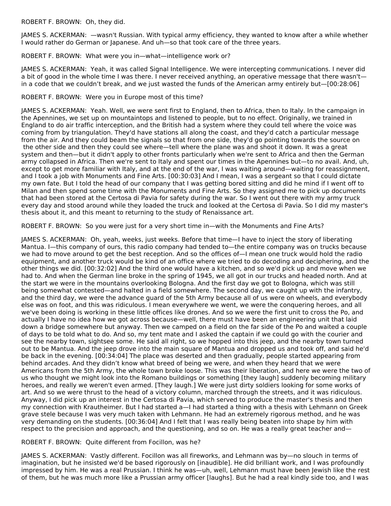ROBERT F. BROWN: Oh, they did.

JAMES S. ACKERMAN: —wasn't Russian. With typical army efficiency, they wanted to know after a while whether I would rather do German or Japanese. And uh—so that took care of the three years.

ROBERT F. BROWN: What were you in—what—intelligence work or?

JAMES S. ACKERMAN: Yeah, it was called Signal Intelligence. We were intercepting communications. I never did a bit of good in the whole time I was there. I never received anything, an operative message that there wasn't in a code that we couldn't break, and we just wasted the funds of the American army entirely but—[00:28:06]

#### ROBERT F. BROWN: Were you in Europe most of this time?

JAMES S. ACKERMAN: Yeah. Well, we were sent first to England, then to Africa, then to Italy. In the campaign in the Apennines, we set up on mountaintops and listened to people, but to no effect. Originally, we trained in England to do air traffic interception, and the British had a system where they could tell where the voice was coming from by triangulation. They'd have stations all along the coast, and they'd catch a particular message from the air. And they could beam the signals so that from one side, they'd go pointing towards the source on the other side and then they could see where—tell where the plane was and shoot it down. It was a great system and then—but it didn't apply to other fronts particularly when we're sent to Africa and then the German army collapsed in Africa. Then we're sent to Italy and spent our times in the Apennines but—to no avail. And, uh, except to get more familiar with Italy, and at the end of the war, I was waiting around—waiting for reassignment, and I took a job with Monuments and Fine Arts. [00:30:03] And I mean, I was a sergeant so that I could dictate my own fate. But I told the head of our company that I was getting bored sitting and did he mind if I went off to Milan and then spend some time with the Monuments and Fine Arts. So they assigned me to pick up documents that had been stored at the Certosa di Pavia for safety during the war. So I went out there with my army truck every day and stood around while they loaded the truck and looked at the Certosa di Pavia. So I did my master's thesis about it, and this meant to returning to the study of Renaissance art.

ROBERT F. BROWN: So you were just for a very short time in—with the Monuments and Fine Arts?

JAMES S. ACKERMAN: Oh, yeah, weeks, just weeks. Before that time—I have to inject the story of liberating Mantua. I—this company of ours, this radio company had tended to—the entire company was on trucks because we had to move around to get the best reception. And so the offices of—I mean one truck would hold the radio equipment, and another truck would be kind of an office where we tried to do decoding and deciphering, and the other things we did. [00:32:02] And the third one would have a kitchen, and so we'd pick up and move when we had to. And when the German line broke in the spring of 1945, we all got in our trucks and headed north. And at the start we were in the mountains overlooking Bologna. And the first day we got to Bologna, which was still being somewhat contested—and halted in a field somewhere. The second day, we caught up with the infantry, and the third day, we were the advance guard of the 5th Army because all of us were on wheels, and everybody else was on foot, and this was ridiculous. I mean everywhere we went, we were the conquering heroes, and all we've been doing is working in these little offices like drones. And so we were the first unit to cross the Po, and actually I have no idea how we got across because—well, there must have been an engineering unit that laid down a bridge somewhere but anyway. Then we camped on a field on the far side of the Po and waited a couple of days to be told what to do. And so, my tent mate and I asked the captain if we could go with the courier and see the nearby town, sightsee some. He said all right, so we hopped into this jeep, and the nearby town turned out to be Mantua. And the jeep drove into the main square of Mantua and dropped us and took off, and said he'd be back in the evening. [00:34:04] The place was deserted and then gradually, people started appearing from behind arcades. And they didn't know what breed of being we were, and when they heard that we were Americans from the 5th Army, the whole town broke loose. This was their liberation, and here we were the two of us who thought we might look into the Romano buildings or something [they laugh] suddenly becoming military heroes, and really we weren't even armed. [They laugh.] We were just dirty soldiers looking for some works of art. And so we were thrust to the head of a victory column, marched through the streets, and it was ridiculous. Anyway, I did pick up an interest in the Certosa di Pavia, which served to produce the master's thesis and then my connection with Krautheimer. But I had started a—I had started a thing with a thesis with Lehmann on Greek grave stele because I was very much taken with Lehmann. He had an extremely rigorous method, and he was very demanding on the students. [00:36:04] And I felt that I was really being beaten into shape by him with respect to the precision and approach, and the questioning, and so on. He was a really great teacher and—

## ROBERT F. BROWN: Quite different from Focillon, was he?

JAMES S. ACKERMAN: Vastly different. Focillon was all fireworks, and Lehmann was by—no slouch in terms of imagination, but he insisted we'd be based rigorously on [inaudible]. He did brilliant work, and I was profoundly impressed by him. He was a real Prussian. I think he was—uh, well, Lehmann must have been Jewish like the rest of them, but he was much more like a Prussian army officer [laughs]. But he had a real kindly side too, and I was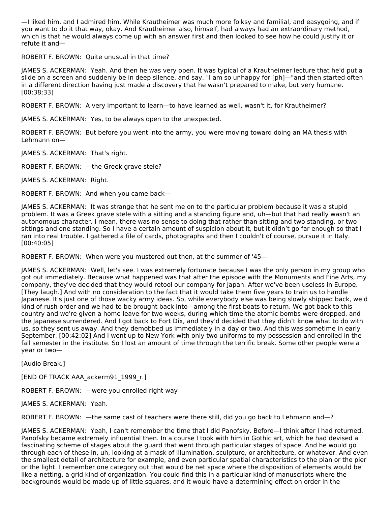—I liked him, and I admired him. While Krautheimer was much more folksy and familial, and easygoing, and if you want to do it that way, okay. And Krautheimer also, himself, had always had an extraordinary method, which is that he would always come up with an answer first and then looked to see how he could justify it or refute it and—

ROBERT F. BROWN: Quite unusual in that time?

JAMES S. ACKERMAN: Yeah. And then he was very open. It was typical of a Krautheimer lecture that he'd put a slide on a screen and suddenly be in deep silence, and say, "I am so unhappy for [ph]—"and then started often in a different direction having just made a discovery that he wasn't prepared to make, but very humane. [00:38:33]

ROBERT F. BROWN: A very important to learn—to have learned as well, wasn't it, for Krautheimer?

JAMES S. ACKERMAN: Yes, to be always open to the unexpected.

ROBERT F. BROWN: But before you went into the army, you were moving toward doing an MA thesis with Lehmann on—

JAMES S. ACKERMAN: That's right.

ROBERT F. BROWN: —the Greek grave stele?

JAMES S. ACKERMAN: Right.

ROBERT F. BROWN: And when you came back—

JAMES S. ACKERMAN: It was strange that he sent me on to the particular problem because it was a stupid problem. It was a Greek grave stele with a sitting and a standing figure and, uh—but that had really wasn't an autonomous character. I mean, there was no sense to doing that rather than sitting and two standing, or two sittings and one standing. So I have a certain amount of suspicion about it, but it didn't go far enough so that I ran into real trouble. I gathered a file of cards, photographs and then I couldn't of course, pursue it in Italy. [00:40:05]

ROBERT F. BROWN: When were you mustered out then, at the summer of '45—

JAMES S. ACKERMAN: Well, let's see. I was extremely fortunate because I was the only person in my group who got out immediately. Because what happened was that after the episode with the Monuments and Fine Arts, my company, they've decided that they would retool our company for Japan. After we've been useless in Europe. [They laugh.] And with no consideration to the fact that it would take them five years to train us to handle Japanese. It's just one of those wacky army ideas. So, while everybody else was being slowly shipped back, we'd kind of rush order and we had to be brought back into—among the first boats to return. We got back to this country and we're given a home leave for two weeks, during which time the atomic bombs were dropped, and the Japanese surrendered. And I got back to Fort Dix, and they'd decided that they didn't know what to do with us, so they sent us away. And they demobbed us immediately in a day or two. And this was sometime in early September. [00:42:02] And I went up to New York with only two uniforms to my possession and enrolled in the fall semester in the institute. So I lost an amount of time through the terrific break. Some other people were a year or two—

[Audio Break.]

[END OF TRACK AAA\_ackerm91\_1999\_r.]

ROBERT F. BROWN: —were you enrolled right way

JAMES S. ACKERMAN: Yeah.

ROBERT F. BROWN: —the same cast of teachers were there still, did you go back to Lehmann and—?

JAMES S. ACKERMAN: Yeah, I can't remember the time that I did Panofsky. Before—I think after I had returned, Panofsky became extremely influential then. In a course I took with him in Gothic art, which he had devised a fascinating scheme of stages about the guard that went through particular stages of space. And he would go through each of these in, uh, looking at a mask of illumination, sculpture, or architecture, or whatever. And even the smallest detail of architecture for example, and even particular spatial characteristics to the plan or the pier or the light. I remember one category out that would be net space where the disposition of elements would be like a netting, a grid kind of organization. You could find this in a particular kind of manuscripts where the backgrounds would be made up of little squares, and it would have a determining effect on order in the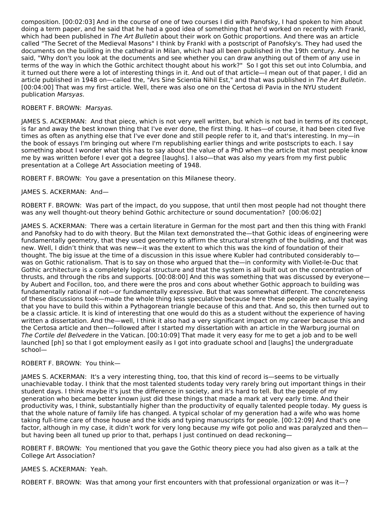composition. [00:02:03] And in the course of one of two courses I did with Panofsky, I had spoken to him about doing a term paper, and he said that he had a good idea of something that he'd worked on recently with Frankl, which had been published in The Art Bulletin about their work on Gothic proportions. And there was an article called "The Secret of the Medieval Masons" I think by Frankl with a postscript of Panofsky's. They had used the documents on the building in the cathedral in Milan, which had all been published in the 19th century. And he said, "Why don't you look at the documents and see whether you can draw anything out of them of any use in terms of the way in which the Gothic architect thought about his work?" So I got this set out into Columbia, and it turned out there were a lot of interesting things in it. And out of that article—I mean out of that paper, I did an article published in 1948 on—called the, "Ars Sine Scientia Nihil Est," and that was published in The Art Bulletin. [00:04:00] That was my first article. Well, there was also one on the Certosa di Pavia in the NYU student publication Marsyas.

#### ROBERT F. BROWN: Marsyas.

JAMES S. ACKERMAN: And that piece, which is not very well written, but which is not bad in terms of its concept, is far and away the best known thing that I've ever done, the first thing. It has—of course, it had been cited five times as often as anything else that I've ever done and still people refer to it, and that's interesting. In my-in the book of essays I'm bringing out where I'm republishing earlier things and write postscripts to each. I say something about I wonder what this has to say about the value of a PhD when the article that most people know me by was written before I ever got a degree [laughs]. I also—that was also my years from my first public presentation at a College Art Association meeting of 1948.

ROBERT F. BROWN: You gave a presentation on this Milanese theory.

## JAMES S. ACKERMAN: And—

ROBERT F. BROWN: Was part of the impact, do you suppose, that until then most people had not thought there was any well thought-out theory behind Gothic architecture or sound documentation? [00:06:02]

JAMES S. ACKERMAN: There was a certain literature in German for the most part and then this thing with Frankl and Panofsky had to do with theory. But the Milan text demonstrated the—that Gothic ideas of engineering were fundamentally geometry, that they used geometry to affirm the structural strength of the building, and that was new. Well, I didn't think that was new—it was the extent to which this was the kind of foundation of their thought. The big issue at the time of a discussion in this issue where Kubler had contributed considerably to was on Gothic rationalism. That is to say on those who argued that the—in conformity with Viollet-le-Duc that Gothic architecture is a completely logical structure and that the system is all built out on the concentration of thrusts, and through the ribs and supports. [00:08:00] And this was something that was discussed by everyone by Aubert and Focillon, too, and there were the pros and cons about whether Gothic approach to building was fundamentally rational if not—or fundamentally expressive. But that was somewhat different. The concreteness of these discussions took—made the whole thing less speculative because here these people are actually saying that you have to build this within a Pythagorean triangle because of this and that. And so, this then turned out to be a classic article. It is kind of interesting that one would do this as a student without the experience of having written a dissertation. And the—well, I think it also had a very significant impact on my career because this and the Certosa article and then—followed after I started my dissertation with an article in the Warburg journal on The Cortile del Belvedere in the Vatican. [00:10:09] That made it very easy for me to get a job and to be well launched [ph] so that I got employment easily as I got into graduate school and [laughs] the undergraduate school—

#### ROBERT F. BROWN: You think—

JAMES S. ACKERMAN: It's a very interesting thing, too, that this kind of record is—seems to be virtually unachievable today. I think that the most talented students today very rarely bring out important things in their student days. I think maybe it's just the difference in society, and it's hard to tell. But the people of my generation who became better known just did these things that made a mark at very early time. And their productivity was, I think, substantially higher than the productivity of equally talented people today. My guess is that the whole nature of family life has changed. A typical scholar of my generation had a wife who was home taking full-time care of those house and the kids and typing manuscripts for people. [00:12:09] And that's one factor, although in my case, it didn't work for very long because my wife got polio and was paralyzed and then but having been all tuned up prior to that, perhaps I just continued on dead reckoning—

ROBERT F. BROWN: You mentioned that you gave the Gothic theory piece you had also given as a talk at the College Art Association?

#### JAMES S. ACKERMAN: Yeah.

ROBERT F. BROWN: Was that among your first encounters with that professional organization or was it—?